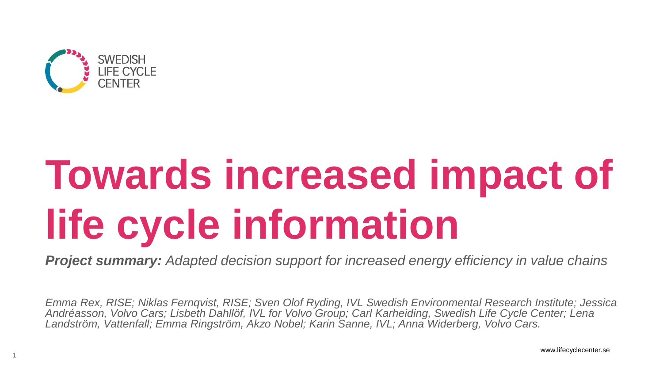

**1**

# **Towards increased impact of life cycle information**

*Project summary: Adapted decision support for increased energy efficiency in value chains*

*Emma Rex, RISE; Niklas Fernqvist, RISE; Sven Olof Ryding, IVL Swedish Environmental Research Institute; Jessica Andréasson, Volvo Cars; Lisbeth Dahllöf, IVL for Volvo Group; Carl Karheiding, Swedish Life Cycle Center; Lena Landström, Vattenfall; Emma Ringström, Akzo Nobel; Karin Sanne, IVL; Anna Widerberg, Volvo Cars.*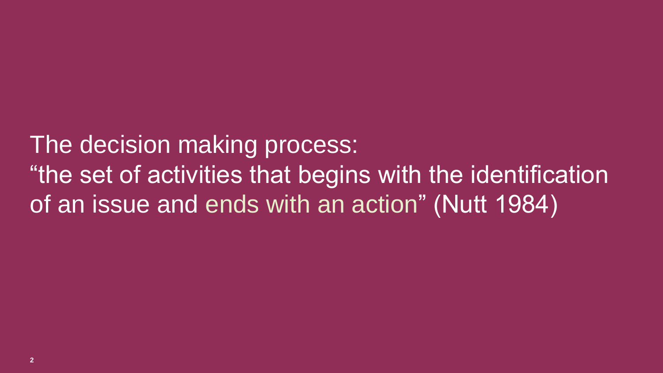The decision making process: "the set of activities that begins with the identification of an issue and ends with an action" (Nutt 1984)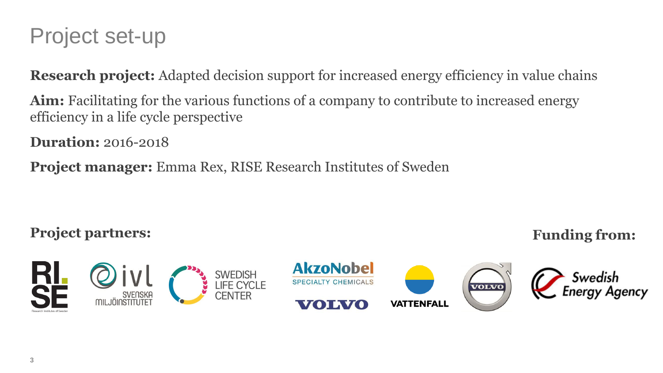### Project set-up

**Research project:** Adapted decision support for increased energy efficiency in value chains

Aim: Facilitating for the various functions of a company to contribute to increased energy efficiency in a life cycle perspective

**Duration:** 2016-2018

**Project manager:** Emma Rex, RISE Research Institutes of Sweden

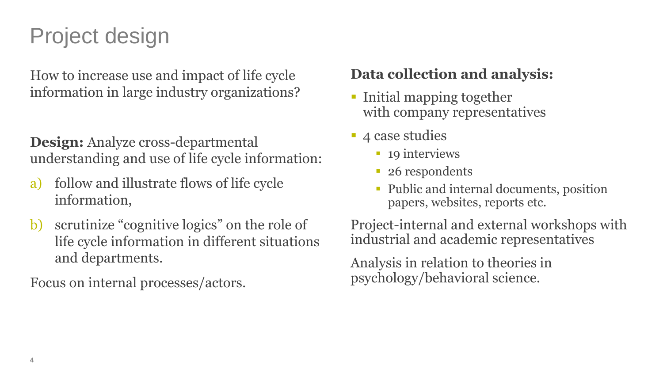### Project design

How to increase use and impact of life cycle information in large industry organizations?

#### **Design:** Analyze cross-departmental understanding and use of life cycle information:

- a) follow and illustrate flows of life cycle information,
- b) scrutinize "cognitive logics" on the role of life cycle information in different situations and departments.

Focus on internal processes/actors.

#### **Data collection and analysis:**

- **Initial mapping together** with company representatives
- **4** case studies
	- 19 interviews
	- 26 respondents
	- Public and internal documents, position papers, websites, reports etc.

Project-internal and external workshops with industrial and academic representatives

Analysis in relation to theories in psychology/behavioral science.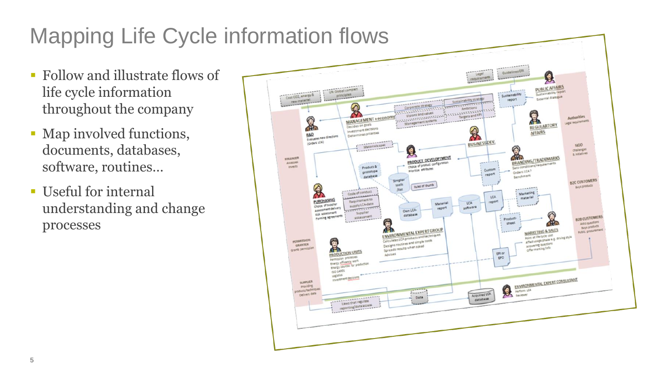### Mapping Life Cycle information flows

- Follow and illustrate flows of life cycle information throughout the company
- Map involved functions, documents, databases, software, routines…
- Useful for internal understanding and change processes

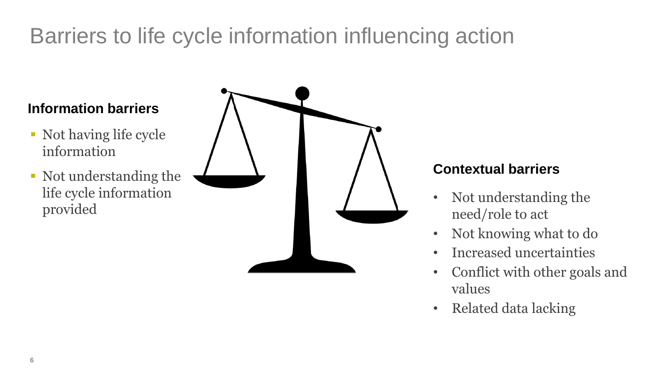### Barriers to life cycle information influencing action

#### **Information barriers**

- Not having life cycle information
- Not understanding the life cycle information provided



#### **Contextual barriers**

- Not understanding the need/role to act
- Not knowing what to do
- Increased uncertainties
- Conflict with other goals and values
- Related data lacking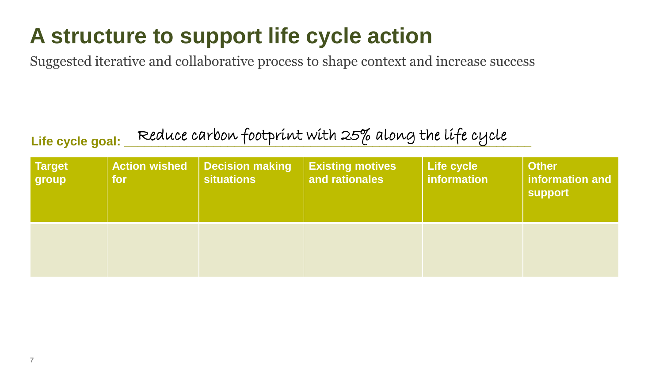### **A structure to support life cycle action**

Suggested iterative and collaborative process to shape context and increase success

### Life cycle goal: Reduce carbon footprint with 25% along the life cycle

| <b>Target</b><br>group | <b>Action wished</b><br>for, | <b>Decision making</b><br><b>situations</b> | <b>Existing motives</b><br>and rationales | <b>Life cycle</b><br>information | <b>Other</b><br>information and<br><b>support</b> |
|------------------------|------------------------------|---------------------------------------------|-------------------------------------------|----------------------------------|---------------------------------------------------|
|                        |                              |                                             |                                           |                                  |                                                   |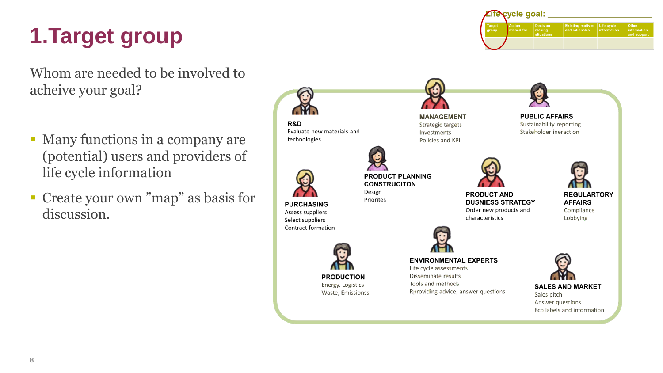### **1.Target group**

Whom are needed to be involved to acheive your goal?

- Many functions in a company are (potential) users and providers of life cycle information
- Create your own "map" as basis for discussion.



**ifecycle goal:** 

ished for

 $\left| \frac{\text{making}}{\text{eituation}} \right|$ 

Existing motives Life cycle<br>and rationales information

and suppor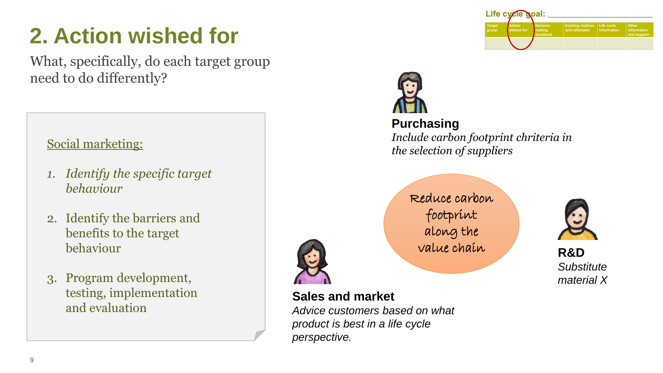### **2. Action wished for**

What, specifically, do each target group need to do differently?

#### Social marketing:

- *1. Identify the specific target behaviour*
- 2. Identify the barriers and benefits to the target behaviour
- 3. Program development, testing, implementation and evaluation





#### **Purchasing**

*Include carbon footprint chriteria in the selection of suppliers*

Reduce carbon footprint along the value chain **R&D**



*Substitute material X*



#### **Sales and market**

*Advice customers based on what product is best in a life cycle perspective.*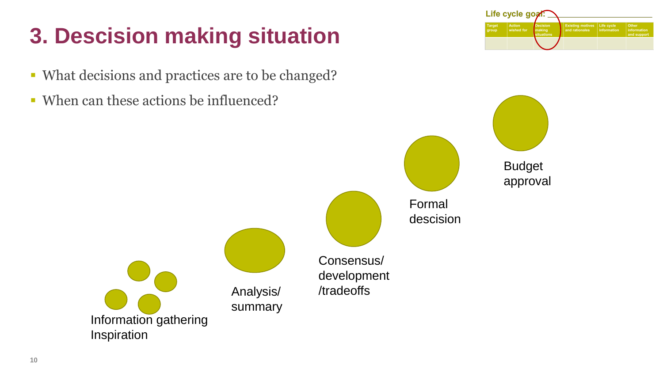### **3. Descision making situation**

- What decisions and practices are to be changed?
- When can these actions be influenced?



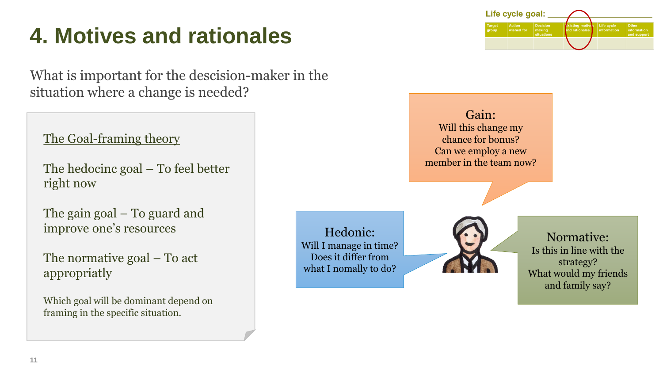### **4. Motives and rationales**

What is important for the descision-maker in the situation where a change is needed?

The Goal-framing theory

The hedocinc goal – To feel better right now

The gain goal – To guard and improve one's resources

The normative goal – To act appropriatly

Which goal will be dominant depend on framing in the specific situation.

**11**

Hedonic: Will I manage in time? Does it differ from what I nomally to do?



Gain:

Life cycle goal:

Action Decision<br>wished for making

Will this change my chance for bonus? Can we employ a new member in the team now?

> Normative: Is this in line with the strategy? What would my friends and family say?

 $\left| \right|$  Life cycle<br>information

isting motiv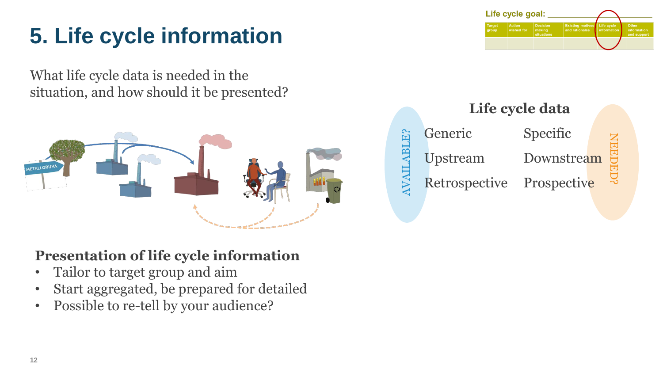### **5. Life cycle information**

What life cycle data is needed in the situation, and how should it be presented?



#### **Presentation of life cycle information**

- Tailor to target group and aim
- Start aggregated, be prepared for detailed
- Possible to re-tell by your audience?



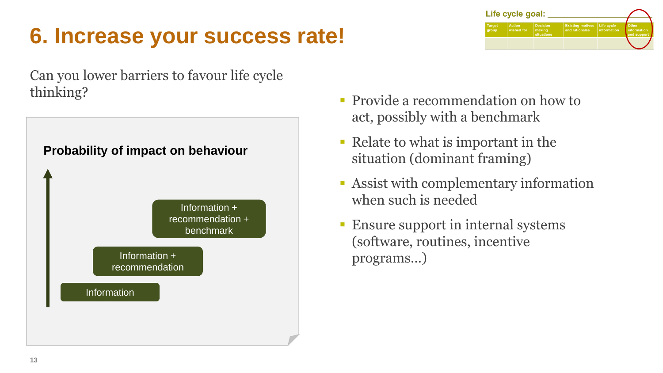### **6. Increase your success rate!**





**• Provide a recommendation on how to** act, possibly with a benchmark

Life cycle goal:

Existing motives Life cycle<br>and rationales information

- Relate to what is important in the situation (dominant framing)
- Assist with complementary information when such is needed
- **Ensure support in internal systems** (software, routines, incentive programs…)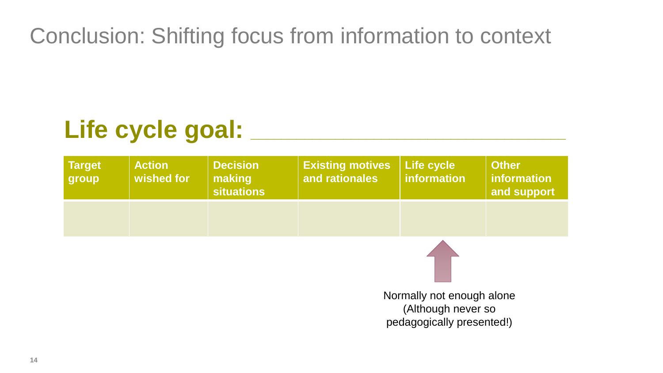Conclusion: Shifting focus from information to context

### Life cycle goal: \_\_\_

| <b>Target</b><br>group | <b>Action</b><br>wished for | <b>Decision</b><br>making<br><b>situations</b> | <b>Existing motives</b><br>and rationales | Life cycle<br>information | <b>Other</b><br>information<br>and support |
|------------------------|-----------------------------|------------------------------------------------|-------------------------------------------|---------------------------|--------------------------------------------|
|                        |                             |                                                |                                           |                           |                                            |
|                        |                             |                                                |                                           |                           |                                            |

Normally not enough alone (Although never so pedagogically presented!)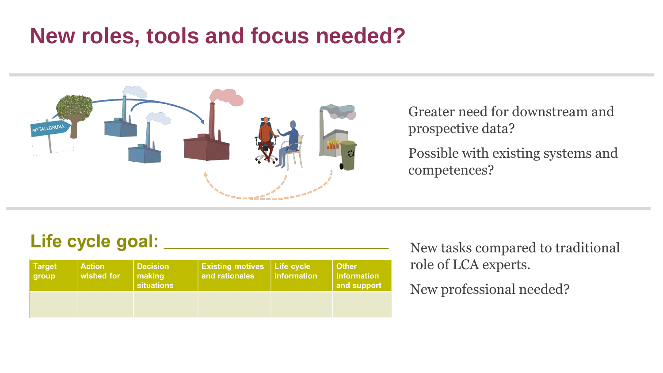### **New roles, tools and focus needed?**



Greater need for downstream and prospective data?

Possible with existing systems and competences?

#### Life cycle goal: \_\_

| <b>Target</b><br>group | <b>Action</b><br>wished for | <b>Decision</b><br>making<br><b>situations</b> | <b>Existing motives   Life cycle  </b><br>and rationales | linformation | <b>Other</b><br>  information<br>and support |
|------------------------|-----------------------------|------------------------------------------------|----------------------------------------------------------|--------------|----------------------------------------------|
|                        |                             |                                                |                                                          |              |                                              |

New tasks compared to traditional role of LCA experts.

New professional needed?